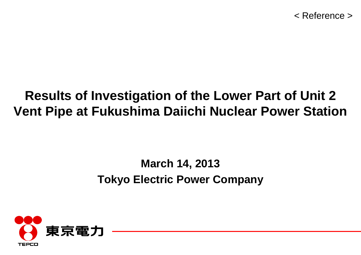## **Results of Investigation of the Lower Part of Unit 2 Vent Pipe at Fukushima Daiichi Nuclear Power Station**

## **March 14, 2013 Tokyo Electric Power Company**

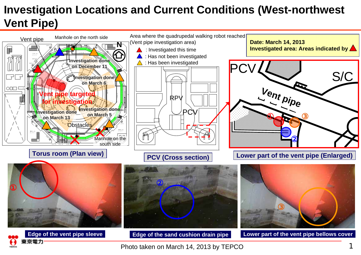#### **Investigation Locations and Current Conditions (West-northwest Vent Pipe)**



Photo taken on March 14, 2013 by TEPCO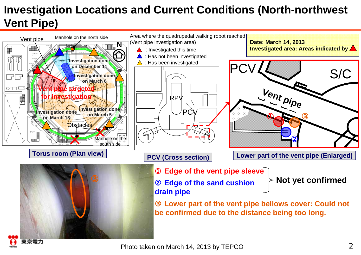### **Investigation Locations and Current Conditions (North-northwest Vent Pipe)**



京電力